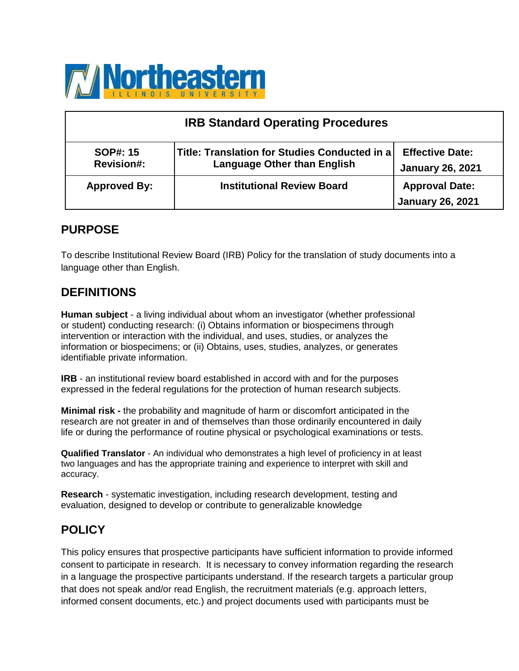

| <b>IRB Standard Operating Procedures</b> |                                                                                     |                                                   |  |
|------------------------------------------|-------------------------------------------------------------------------------------|---------------------------------------------------|--|
| <b>SOP#: 15</b><br><b>Revision#:</b>     | Title: Translation for Studies Conducted in a<br><b>Language Other than English</b> | <b>Effective Date:</b><br><b>January 26, 2021</b> |  |
| <b>Approved By:</b>                      | <b>Institutional Review Board</b>                                                   | <b>Approval Date:</b><br><b>January 26, 2021</b>  |  |

## **PURPOSE**

To describe Institutional Review Board (IRB) Policy for the translation of study documents into a language other than English.

### **DEFINITIONS**

**Human subject** - a living individual about whom an investigator (whether professional or student) conducting research: (i) Obtains information or biospecimens through intervention or interaction with the individual, and uses, studies, or analyzes the information or biospecimens; or (ii) Obtains, uses, studies, analyzes, or generates identifiable private information.

**IRB** - an institutional review board established in accord with and for the purposes expressed in the federal regulations for the protection of human research subjects.

**Minimal risk -** the probability and magnitude of harm or discomfort anticipated in the research are not greater in and of themselves than those ordinarily encountered in daily life or during the performance of routine physical or psychological examinations or tests.

**Qualified Translator** - An individual who demonstrates a high level of proficiency in at least two languages and has the appropriate training and experience to interpret with skill and accuracy.

**Research** - systematic investigation, including research development, testing and evaluation, designed to develop or contribute to generalizable knowledge

# **POLICY**

This policy ensures that prospective participants have sufficient information to provide informed consent to participate in research. It is necessary to convey information regarding the research in a language the prospective participants understand. If the research targets a particular group that does not speak and/or read English, the recruitment materials (e.g. approach letters, informed consent documents, etc.) and project documents used with participants must be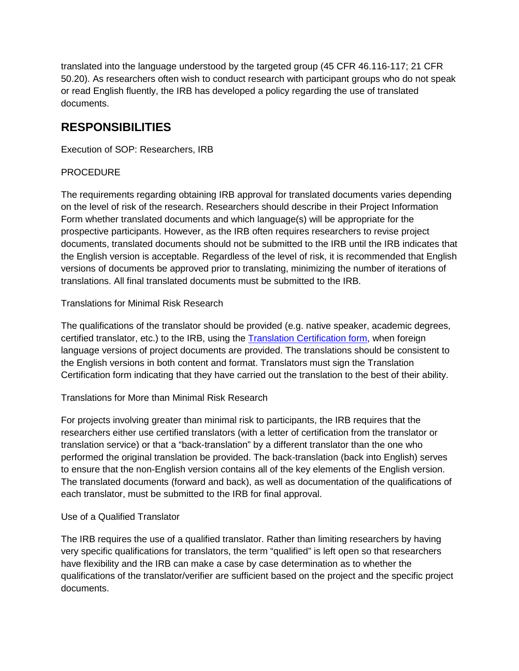translated into the language understood by the targeted group (45 CFR 46.116-117; 21 CFR 50.20). As researchers often wish to conduct research with participant groups who do not speak or read English fluently, the IRB has developed a policy regarding the use of translated documents.

# **RESPONSIBILITIES**

Execution of SOP: Researchers, IRB

### **PROCEDURE**

The requirements regarding obtaining IRB approval for translated documents varies depending on the level of risk of the research. Researchers should describe in their Project Information Form whether translated documents and which language(s) will be appropriate for the prospective participants. However, as the IRB often requires researchers to revise project documents, translated documents should not be submitted to the IRB until the IRB indicates that the English version is acceptable. Regardless of the level of risk, it is recommended that English versions of documents be approved prior to translating, minimizing the number of iterations of translations. All final translated documents must be submitted to the IRB.

#### Translations for Minimal Risk Research

The qualifications of the translator should be provided (e.g. native speaker, academic degrees, certified translator, etc.) to the IRB, using the [Translation Certification form,](https://www.neiu.edu/sites/neiu.edu/files/documents/2021/02/11/NEIU%20IRB%20Translation%20Certification%20Form_2_11_21%20%281%29.docx) when foreign language versions of project documents are provided. The translations should be consistent to the English versions in both content and format. Translators must sign the Translation Certification form indicating that they have carried out the translation to the best of their ability.

Translations for More than Minimal Risk Research

For projects involving greater than minimal risk to participants, the IRB requires that the researchers either use certified translators (with a letter of certification from the translator or translation service) or that a "back-translation" by a different translator than the one who performed the original translation be provided. The back-translation (back into English) serves to ensure that the non-English version contains all of the key elements of the English version. The translated documents (forward and back), as well as documentation of the qualifications of each translator, must be submitted to the IRB for final approval.

#### Use of a Qualified Translator

The IRB requires the use of a qualified translator. Rather than limiting researchers by having very specific qualifications for translators, the term "qualified" is left open so that researchers have flexibility and the IRB can make a case by case determination as to whether the qualifications of the translator/verifier are sufficient based on the project and the specific project documents.